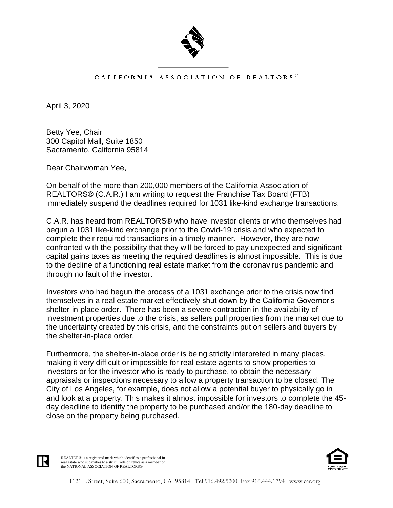

## CALIFORNIA ASSOCIATION OF REALTORS<sup>®</sup>

April 3, 2020

Betty Yee, Chair 300 Capitol Mall, Suite 1850 Sacramento, California 95814

Dear Chairwoman Yee,

On behalf of the more than 200,000 members of the California Association of REALTORS® (C.A.R.) I am writing to request the Franchise Tax Board (FTB) immediately suspend the deadlines required for 1031 like-kind exchange transactions.

C.A.R. has heard from REALTORS® who have investor clients or who themselves had begun a 1031 like-kind exchange prior to the Covid-19 crisis and who expected to complete their required transactions in a timely manner. However, they are now confronted with the possibility that they will be forced to pay unexpected and significant capital gains taxes as meeting the required deadlines is almost impossible. This is due to the decline of a functioning real estate market from the coronavirus pandemic and through no fault of the investor.

Investors who had begun the process of a 1031 exchange prior to the crisis now find themselves in a real estate market effectively shut down by the California Governor's shelter-in-place order. There has been a severe contraction in the availability of investment properties due to the crisis, as sellers pull properties from the market due to the uncertainty created by this crisis, and the constraints put on sellers and buyers by the shelter-in-place order.

Furthermore, the shelter-in-place order is being strictly interpreted in many places, making it very difficult or impossible for real estate agents to show properties to investors or for the investor who is ready to purchase, to obtain the necessary appraisals or inspections necessary to allow a property transaction to be closed. The City of Los Angeles, for example, does not allow a potential buyer to physically go in and look at a property. This makes it almost impossible for investors to complete the 45 day deadline to identify the property to be purchased and/or the 180-day deadline to close on the property being purchased.



REALTOR® is a registered mark which identifies a professional in real estate who subscribes to a strict Code of Ethics as a member of the NATIONAL ASSOCIATION OF REALTORS®